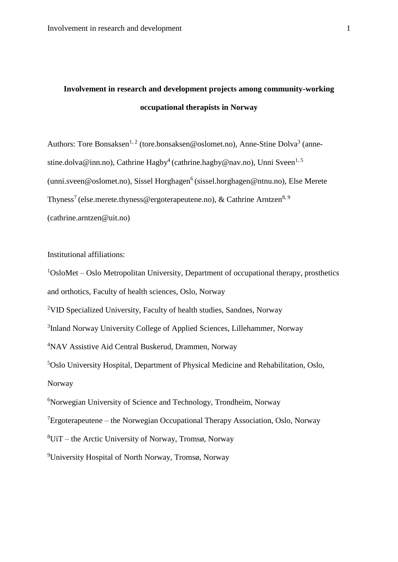# **Involvement in research and development projects among community-working occupational therapists in Norway**

Authors: Tore Bonsaksen<sup>1, 2</sup> (tore.bonsaksen@oslomet.no), Anne-Stine Dolva<sup>3</sup> (annestine.dolva@inn.no), Cathrine Hagby<sup>4</sup> (cathrine.hagby@nav.no), Unni Sveen<sup>1,5</sup>  $(unni.sveen@oslomet.no)$ , Sissel Horghagen<sup>6</sup> (sissel.horghagen@ntnu.no), Else Merete Thyness<sup>7</sup> (else.merete.thyness@ergoterapeutene.no), & Cathrine Arntzen<sup>8, 9</sup> (cathrine.arntzen@uit.no)

Institutional affiliations:

 $1$ OsloMet – Oslo Metropolitan University, Department of occupational therapy, prosthetics and orthotics, Faculty of health sciences, Oslo, Norway <sup>2</sup>VID Specialized University, Faculty of health studies, Sandnes, Norway <sup>3</sup>Inland Norway University College of Applied Sciences, Lillehammer, Norway <sup>4</sup>NAV Assistive Aid Central Buskerud, Drammen, Norway <sup>5</sup>Oslo University Hospital, Department of Physical Medicine and Rehabilitation, Oslo, Norway <sup>6</sup>Norwegian University of Science and Technology, Trondheim, Norway <sup>7</sup>Ergoterapeutene – the Norwegian Occupational Therapy Association, Oslo, Norway  ${}^{8}$ UiT – the Arctic University of Norway, Tromsø, Norway

<sup>9</sup>University Hospital of North Norway, Tromsø, Norway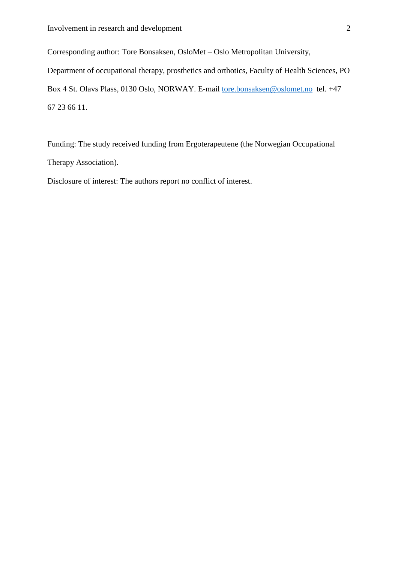Corresponding author: Tore Bonsaksen, OsloMet – Oslo Metropolitan University, Department of occupational therapy, prosthetics and orthotics, Faculty of Health Sciences, PO Box 4 St. Olavs Plass, 0130 Oslo, NORWAY. E-mail [tore.bonsaksen@oslomet.no](mailto:tore.bonsaksen@oslomet.no) tel. +47 67 23 66 11.

Funding: The study received funding from Ergoterapeutene (the Norwegian Occupational Therapy Association).

Disclosure of interest: The authors report no conflict of interest.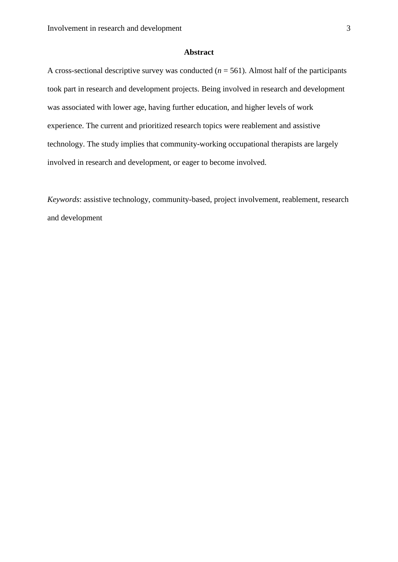### **Abstract**

A cross-sectional descriptive survey was conducted  $(n = 561)$ . Almost half of the participants took part in research and development projects. Being involved in research and development was associated with lower age, having further education, and higher levels of work experience. The current and prioritized research topics were reablement and assistive technology. The study implies that community-working occupational therapists are largely involved in research and development, or eager to become involved.

*Keywords*: assistive technology, community-based, project involvement, reablement, research and development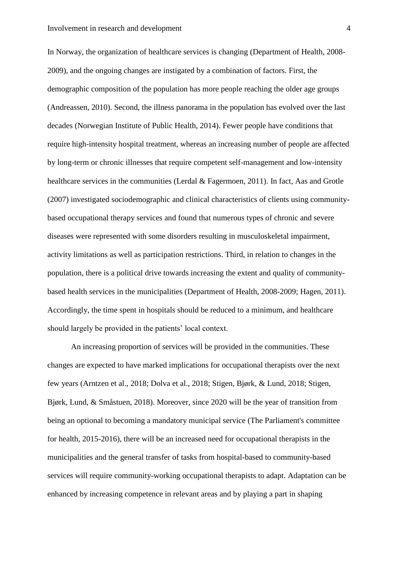In Norway, the organization of healthcare services is changing (Department of Health, 2008-2009), and the ongoing changes are instigated by a combination of factors. First, the demographic composition of the population has more people reaching the older age groups (Andreassen, 2010). Second, the illness panorama in the population has evolved over the last decades (Norwegian Institute of Public Health, 2014). Fewer people have conditions that require high-intensity hospital treatment, whereas an increasing number of people are affected by long-term or chronic illnesses that require competent self-management and low-intensity healthcare services in the communities (Lerdal & Fagermoen, 2011). In fact, Aas and Grotle (2007) investigated sociodemographic and clinical characteristics of clients using communitybased occupational therapy services and found that numerous types of chronic and severe diseases were represented with some disorders resulting in musculoskeletal impairment, activity limitations as well as participation restrictions. Third, in relation to changes in the population, there is a political drive towards increasing the extent and quality of communitybased health services in the municipalities (Department of Health, 2008-2009; Hagen, 2011). Accordingly, the time spent in hospitals should be reduced to a minimum, and healthcare should largely be provided in the patients' local context.

An increasing proportion of services will be provided in the communities. These changes are expected to have marked implications for occupational therapists over the next few years (Arntzen et al., 2018; Dolva et al., 2018; Stigen, Bjørk, & Lund, 2018; Stigen, Bjørk, Lund, & Småstuen, 2018). Moreover, since 2020 will be the year of transition from being an optional to becoming a mandatory municipal service (The Parliament's committee for health, 2015-2016), there will be an increased need for occupational therapists in the municipalities and the general transfer of tasks from hospital-based to community-based services will require community-working occupational therapists to adapt. Adaptation can be enhanced by increasing competence in relevant areas and by playing a part in shaping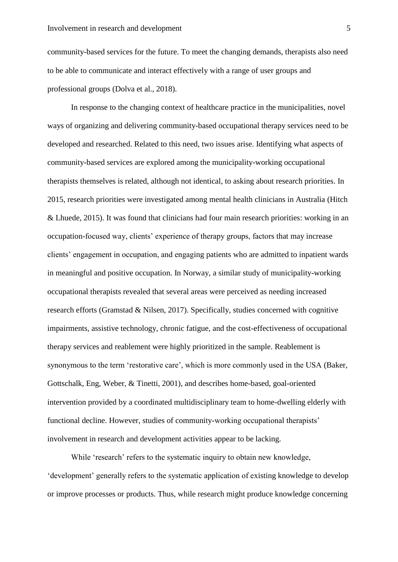community-based services for the future. To meet the changing demands, therapists also need to be able to communicate and interact effectively with a range of user groups and professional groups (Dolva et al., 2018).

In response to the changing context of healthcare practice in the municipalities, novel ways of organizing and delivering community-based occupational therapy services need to be developed and researched. Related to this need, two issues arise. Identifying what aspects of community-based services are explored among the municipality-working occupational therapists themselves is related, although not identical, to asking about research priorities. In 2015, research priorities were investigated among mental health clinicians in Australia (Hitch & Lhuede, 2015). It was found that clinicians had four main research priorities: working in an occupation-focused way, clients' experience of therapy groups, factors that may increase clients' engagement in occupation, and engaging patients who are admitted to inpatient wards in meaningful and positive occupation. In Norway, a similar study of municipality-working occupational therapists revealed that several areas were perceived as needing increased research efforts (Gramstad & Nilsen, 2017). Specifically, studies concerned with cognitive impairments, assistive technology, chronic fatigue, and the cost-effectiveness of occupational therapy services and reablement were highly prioritized in the sample. Reablement is synonymous to the term 'restorative care', which is more commonly used in the USA (Baker, Gottschalk, Eng, Weber, & Tinetti, 2001), and describes home-based, goal-oriented intervention provided by a coordinated multidisciplinary team to home-dwelling elderly with functional decline. However, studies of community-working occupational therapists' involvement in research and development activities appear to be lacking.

While 'research' refers to the systematic inquiry to obtain new knowledge, 'development' generally refers to the systematic application of existing knowledge to develop or improve processes or products. Thus, while research might produce knowledge concerning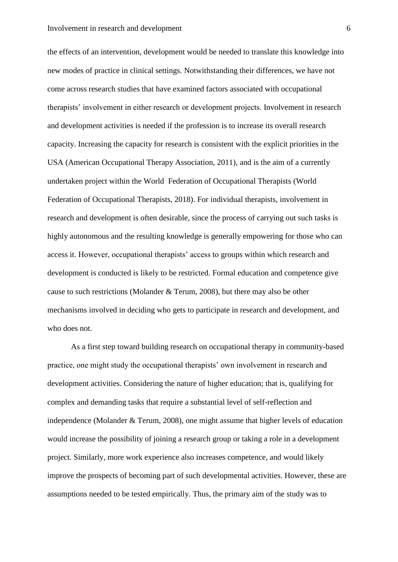the effects of an intervention, development would be needed to translate this knowledge into new modes of practice in clinical settings. Notwithstanding their differences, we have not come across research studies that have examined factors associated with occupational therapists' involvement in either research or development projects. Involvement in research and development activities is needed if the profession is to increase its overall research capacity. Increasing the capacity for research is consistent with the explicit priorities in the USA (American Occupational Therapy Association, 2011), and is the aim of a currently undertaken project within the World Federation of Occupational Therapists (World Federation of Occupational Therapists, 2018). For individual therapists, involvement in research and development is often desirable, since the process of carrying out such tasks is highly autonomous and the resulting knowledge is generally empowering for those who can access it. However, occupational therapists' access to groups within which research and development is conducted is likely to be restricted. Formal education and competence give cause to such restrictions (Molander & Terum, 2008), but there may also be other mechanisms involved in deciding who gets to participate in research and development, and who does not.

As a first step toward building research on occupational therapy in community-based practice, one might study the occupational therapists' own involvement in research and development activities. Considering the nature of higher education; that is, qualifying for complex and demanding tasks that require a substantial level of self-reflection and independence (Molander & Terum, 2008), one might assume that higher levels of education would increase the possibility of joining a research group or taking a role in a development project. Similarly, more work experience also increases competence, and would likely improve the prospects of becoming part of such developmental activities. However, these are assumptions needed to be tested empirically. Thus, the primary aim of the study was to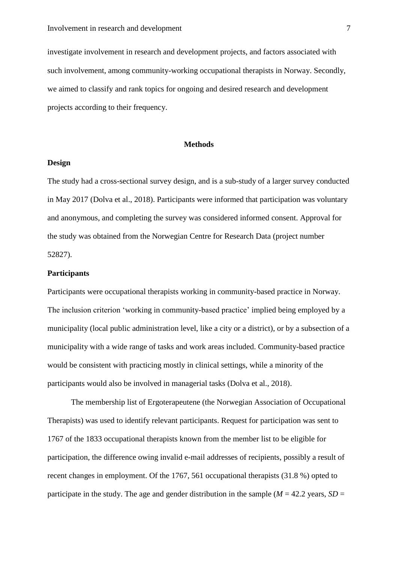investigate involvement in research and development projects, and factors associated with such involvement, among community-working occupational therapists in Norway. Secondly, we aimed to classify and rank topics for ongoing and desired research and development projects according to their frequency.

#### **Methods**

#### **Design**

The study had a cross-sectional survey design, and is a sub-study of a larger survey conducted in May 2017 (Dolva et al., 2018). Participants were informed that participation was voluntary and anonymous, and completing the survey was considered informed consent. Approval for the study was obtained from the Norwegian Centre for Research Data (project number 52827).

#### **Participants**

Participants were occupational therapists working in community-based practice in Norway. The inclusion criterion 'working in community-based practice' implied being employed by a municipality (local public administration level, like a city or a district), or by a subsection of a municipality with a wide range of tasks and work areas included. Community-based practice would be consistent with practicing mostly in clinical settings, while a minority of the participants would also be involved in managerial tasks (Dolva et al., 2018).

The membership list of Ergoterapeutene (the Norwegian Association of Occupational Therapists) was used to identify relevant participants. Request for participation was sent to 1767 of the 1833 occupational therapists known from the member list to be eligible for participation, the difference owing invalid e-mail addresses of recipients, possibly a result of recent changes in employment. Of the 1767, 561 occupational therapists (31.8 %) opted to participate in the study. The age and gender distribution in the sample ( $M = 42.2$  years,  $SD =$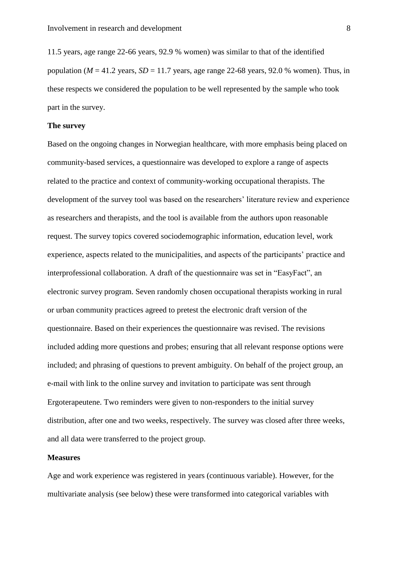11.5 years, age range 22-66 years, 92.9 % women) was similar to that of the identified population ( $M = 41.2$  years,  $SD = 11.7$  years, age range 22-68 years, 92.0 % women). Thus, in these respects we considered the population to be well represented by the sample who took part in the survey.

#### **The survey**

Based on the ongoing changes in Norwegian healthcare, with more emphasis being placed on community-based services, a questionnaire was developed to explore a range of aspects related to the practice and context of community-working occupational therapists. The development of the survey tool was based on the researchers' literature review and experience as researchers and therapists, and the tool is available from the authors upon reasonable request. The survey topics covered sociodemographic information, education level, work experience, aspects related to the municipalities, and aspects of the participants' practice and interprofessional collaboration. A draft of the questionnaire was set in "EasyFact", an electronic survey program. Seven randomly chosen occupational therapists working in rural or urban community practices agreed to pretest the electronic draft version of the questionnaire. Based on their experiences the questionnaire was revised. The revisions included adding more questions and probes; ensuring that all relevant response options were included; and phrasing of questions to prevent ambiguity. On behalf of the project group, an e-mail with link to the online survey and invitation to participate was sent through Ergoterapeutene. Two reminders were given to non-responders to the initial survey distribution, after one and two weeks, respectively. The survey was closed after three weeks, and all data were transferred to the project group.

#### **Measures**

Age and work experience was registered in years (continuous variable). However, for the multivariate analysis (see below) these were transformed into categorical variables with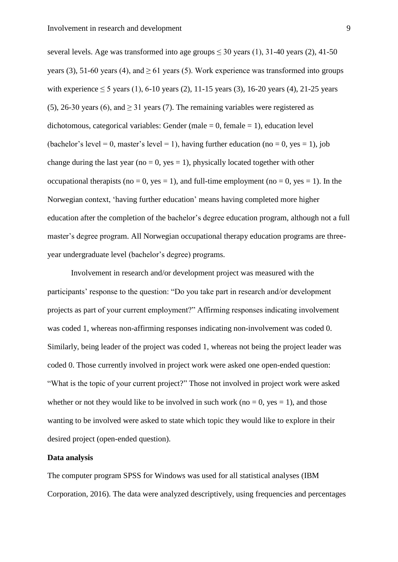several levels. Age was transformed into age groups  $\leq 30$  years (1), 31-40 years (2), 41-50 years (3), 51-60 years (4), and  $> 61$  years (5). Work experience was transformed into groups with experience  $\leq 5$  years (1), 6-10 years (2), 11-15 years (3), 16-20 years (4), 21-25 years (5), 26-30 years (6), and  $\geq$  31 years (7). The remaining variables were registered as dichotomous, categorical variables: Gender (male  $= 0$ , female  $= 1$ ), education level (bachelor's level = 0, master's level = 1), having further education (no = 0, yes = 1), job change during the last year (no = 0, yes = 1), physically located together with other occupational therapists (no = 0, yes = 1), and full-time employment (no = 0, yes = 1). In the Norwegian context, 'having further education' means having completed more higher education after the completion of the bachelor's degree education program, although not a full master's degree program. All Norwegian occupational therapy education programs are threeyear undergraduate level (bachelor's degree) programs.

Involvement in research and/or development project was measured with the participants' response to the question: "Do you take part in research and/or development projects as part of your current employment?" Affirming responses indicating involvement was coded 1, whereas non-affirming responses indicating non-involvement was coded 0. Similarly, being leader of the project was coded 1, whereas not being the project leader was coded 0. Those currently involved in project work were asked one open-ended question: "What is the topic of your current project?" Those not involved in project work were asked whether or not they would like to be involved in such work (no  $= 0$ , yes  $= 1$ ), and those wanting to be involved were asked to state which topic they would like to explore in their desired project (open-ended question).

## **Data analysis**

The computer program SPSS for Windows was used for all statistical analyses (IBM Corporation, 2016). The data were analyzed descriptively, using frequencies and percentages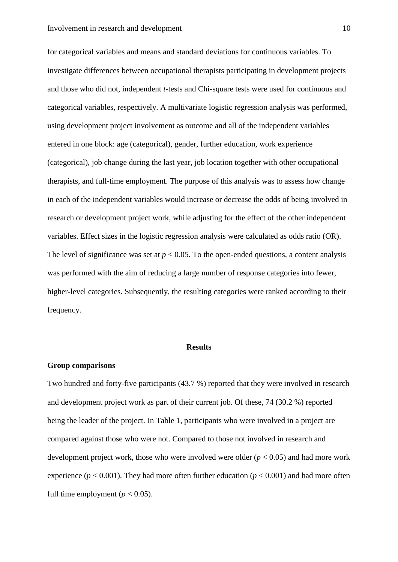for categorical variables and means and standard deviations for continuous variables. To investigate differences between occupational therapists participating in development projects and those who did not, independent *t*-tests and Chi-square tests were used for continuous and categorical variables, respectively. A multivariate logistic regression analysis was performed, using development project involvement as outcome and all of the independent variables entered in one block: age (categorical), gender, further education, work experience (categorical), job change during the last year, job location together with other occupational therapists, and full-time employment. The purpose of this analysis was to assess how change in each of the independent variables would increase or decrease the odds of being involved in research or development project work, while adjusting for the effect of the other independent variables. Effect sizes in the logistic regression analysis were calculated as odds ratio (OR). The level of significance was set at  $p < 0.05$ . To the open-ended questions, a content analysis was performed with the aim of reducing a large number of response categories into fewer, higher-level categories. Subsequently, the resulting categories were ranked according to their frequency.

#### **Results**

#### **Group comparisons**

Two hundred and forty-five participants (43.7 %) reported that they were involved in research and development project work as part of their current job. Of these, 74 (30.2 %) reported being the leader of the project. In Table 1, participants who were involved in a project are compared against those who were not. Compared to those not involved in research and development project work, those who were involved were older  $(p < 0.05)$  and had more work experience ( $p < 0.001$ ). They had more often further education ( $p < 0.001$ ) and had more often full time employment ( $p < 0.05$ ).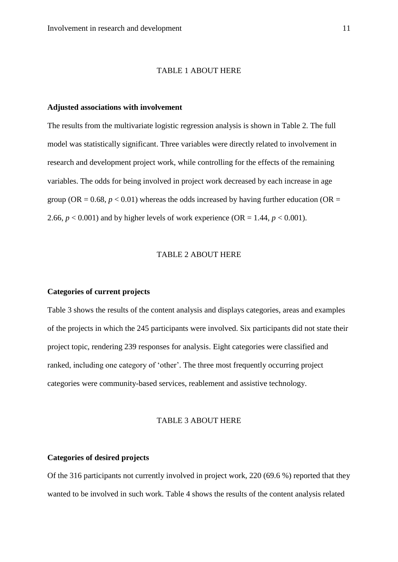#### TABLE 1 ABOUT HERE

#### **Adjusted associations with involvement**

The results from the multivariate logistic regression analysis is shown in Table 2. The full model was statistically significant. Three variables were directly related to involvement in research and development project work, while controlling for the effects of the remaining variables. The odds for being involved in project work decreased by each increase in age group (OR =  $0.68$ ,  $p < 0.01$ ) whereas the odds increased by having further education (OR = 2.66,  $p < 0.001$ ) and by higher levels of work experience (OR = 1.44,  $p < 0.001$ ).

# TABLE 2 ABOUT HERE

### **Categories of current projects**

Table 3 shows the results of the content analysis and displays categories, areas and examples of the projects in which the 245 participants were involved. Six participants did not state their project topic, rendering 239 responses for analysis. Eight categories were classified and ranked, including one category of 'other'. The three most frequently occurring project categories were community-based services, reablement and assistive technology.

## TABLE 3 ABOUT HERE

## **Categories of desired projects**

Of the 316 participants not currently involved in project work, 220 (69.6 %) reported that they wanted to be involved in such work. Table 4 shows the results of the content analysis related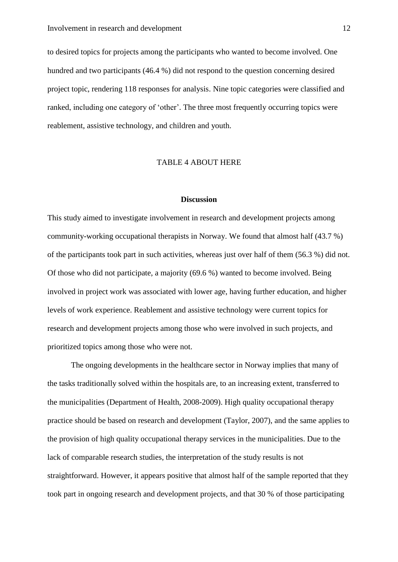to desired topics for projects among the participants who wanted to become involved. One hundred and two participants (46.4 %) did not respond to the question concerning desired project topic, rendering 118 responses for analysis. Nine topic categories were classified and ranked, including one category of 'other'. The three most frequently occurring topics were reablement, assistive technology, and children and youth.

### TABLE 4 ABOUT HERE

#### **Discussion**

This study aimed to investigate involvement in research and development projects among community-working occupational therapists in Norway. We found that almost half (43.7 %) of the participants took part in such activities, whereas just over half of them (56.3 %) did not. Of those who did not participate, a majority (69.6 %) wanted to become involved. Being involved in project work was associated with lower age, having further education, and higher levels of work experience. Reablement and assistive technology were current topics for research and development projects among those who were involved in such projects, and prioritized topics among those who were not.

The ongoing developments in the healthcare sector in Norway implies that many of the tasks traditionally solved within the hospitals are, to an increasing extent, transferred to the municipalities (Department of Health, 2008-2009). High quality occupational therapy practice should be based on research and development (Taylor, 2007), and the same applies to the provision of high quality occupational therapy services in the municipalities. Due to the lack of comparable research studies, the interpretation of the study results is not straightforward. However, it appears positive that almost half of the sample reported that they took part in ongoing research and development projects, and that 30 % of those participating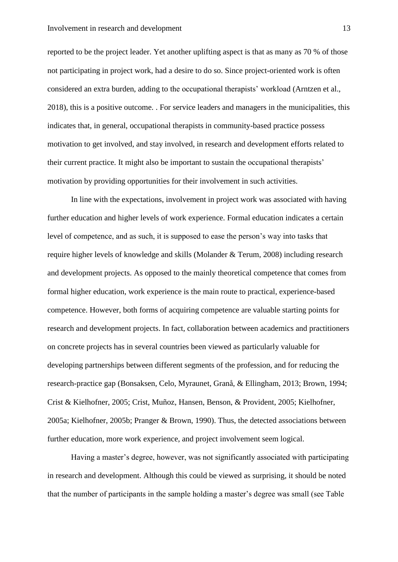reported to be the project leader. Yet another uplifting aspect is that as many as 70 % of those not participating in project work, had a desire to do so. Since project-oriented work is often considered an extra burden, adding to the occupational therapists' workload (Arntzen et al., 2018), this is a positive outcome. . For service leaders and managers in the municipalities, this indicates that, in general, occupational therapists in community-based practice possess motivation to get involved, and stay involved, in research and development efforts related to their current practice. It might also be important to sustain the occupational therapists' motivation by providing opportunities for their involvement in such activities.

In line with the expectations, involvement in project work was associated with having further education and higher levels of work experience. Formal education indicates a certain level of competence, and as such, it is supposed to ease the person's way into tasks that require higher levels of knowledge and skills (Molander & Terum, 2008) including research and development projects. As opposed to the mainly theoretical competence that comes from formal higher education, work experience is the main route to practical, experience-based competence. However, both forms of acquiring competence are valuable starting points for research and development projects. In fact, collaboration between academics and practitioners on concrete projects has in several countries been viewed as particularly valuable for developing partnerships between different segments of the profession, and for reducing the research-practice gap (Bonsaksen, Celo, Myraunet, Granå, & Ellingham, 2013; Brown, 1994; Crist & Kielhofner, 2005; Crist, Muñoz, Hansen, Benson, & Provident, 2005; Kielhofner, 2005a; Kielhofner, 2005b; Pranger & Brown, 1990). Thus, the detected associations between further education, more work experience, and project involvement seem logical.

Having a master's degree, however, was not significantly associated with participating in research and development. Although this could be viewed as surprising, it should be noted that the number of participants in the sample holding a master's degree was small (see Table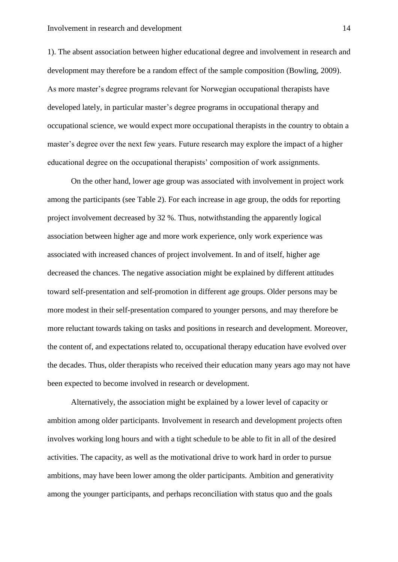1). The absent association between higher educational degree and involvement in research and development may therefore be a random effect of the sample composition (Bowling, 2009). As more master's degree programs relevant for Norwegian occupational therapists have developed lately, in particular master's degree programs in occupational therapy and occupational science, we would expect more occupational therapists in the country to obtain a master's degree over the next few years. Future research may explore the impact of a higher educational degree on the occupational therapists' composition of work assignments.

On the other hand, lower age group was associated with involvement in project work among the participants (see Table 2). For each increase in age group, the odds for reporting project involvement decreased by 32 %. Thus, notwithstanding the apparently logical association between higher age and more work experience, only work experience was associated with increased chances of project involvement. In and of itself, higher age decreased the chances. The negative association might be explained by different attitudes toward self-presentation and self-promotion in different age groups. Older persons may be more modest in their self-presentation compared to younger persons, and may therefore be more reluctant towards taking on tasks and positions in research and development. Moreover, the content of, and expectations related to, occupational therapy education have evolved over the decades. Thus, older therapists who received their education many years ago may not have been expected to become involved in research or development.

Alternatively, the association might be explained by a lower level of capacity or ambition among older participants. Involvement in research and development projects often involves working long hours and with a tight schedule to be able to fit in all of the desired activities. The capacity, as well as the motivational drive to work hard in order to pursue ambitions, may have been lower among the older participants. Ambition and generativity among the younger participants, and perhaps reconciliation with status quo and the goals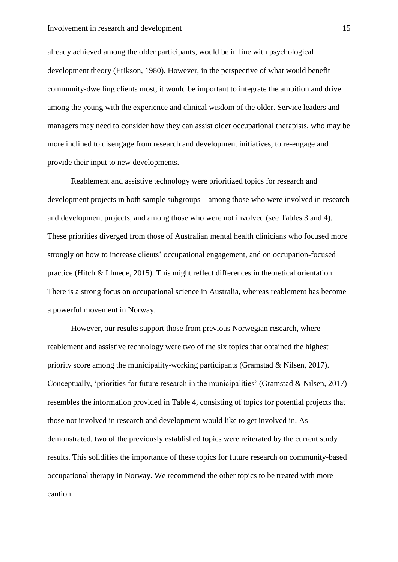already achieved among the older participants, would be in line with psychological development theory (Erikson, 1980). However, in the perspective of what would benefit community-dwelling clients most, it would be important to integrate the ambition and drive among the young with the experience and clinical wisdom of the older. Service leaders and managers may need to consider how they can assist older occupational therapists, who may be more inclined to disengage from research and development initiatives, to re-engage and provide their input to new developments.

Reablement and assistive technology were prioritized topics for research and development projects in both sample subgroups – among those who were involved in research and development projects, and among those who were not involved (see Tables 3 and 4). These priorities diverged from those of Australian mental health clinicians who focused more strongly on how to increase clients' occupational engagement, and on occupation-focused practice (Hitch & Lhuede, 2015). This might reflect differences in theoretical orientation. There is a strong focus on occupational science in Australia, whereas reablement has become a powerful movement in Norway.

However, our results support those from previous Norwegian research, where reablement and assistive technology were two of the six topics that obtained the highest priority score among the municipality-working participants (Gramstad & Nilsen, 2017). Conceptually, 'priorities for future research in the municipalities' (Gramstad & Nilsen, 2017) resembles the information provided in Table 4, consisting of topics for potential projects that those not involved in research and development would like to get involved in. As demonstrated, two of the previously established topics were reiterated by the current study results. This solidifies the importance of these topics for future research on community-based occupational therapy in Norway. We recommend the other topics to be treated with more caution.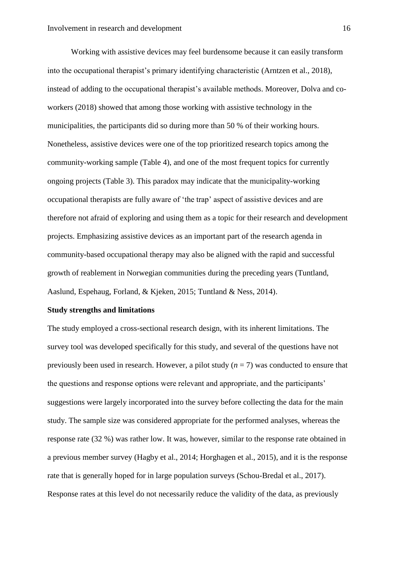Working with assistive devices may feel burdensome because it can easily transform into the occupational therapist's primary identifying characteristic (Arntzen et al., 2018), instead of adding to the occupational therapist's available methods. Moreover, Dolva and coworkers (2018) showed that among those working with assistive technology in the municipalities, the participants did so during more than 50 % of their working hours. Nonetheless, assistive devices were one of the top prioritized research topics among the community-working sample (Table 4), and one of the most frequent topics for currently ongoing projects (Table 3). This paradox may indicate that the municipality-working occupational therapists are fully aware of 'the trap' aspect of assistive devices and are therefore not afraid of exploring and using them as a topic for their research and development projects. Emphasizing assistive devices as an important part of the research agenda in community-based occupational therapy may also be aligned with the rapid and successful growth of reablement in Norwegian communities during the preceding years (Tuntland, Aaslund, Espehaug, Forland, & Kjeken, 2015; Tuntland & Ness, 2014).

## **Study strengths and limitations**

The study employed a cross-sectional research design, with its inherent limitations. The survey tool was developed specifically for this study, and several of the questions have not previously been used in research. However, a pilot study  $(n = 7)$  was conducted to ensure that the questions and response options were relevant and appropriate, and the participants' suggestions were largely incorporated into the survey before collecting the data for the main study. The sample size was considered appropriate for the performed analyses, whereas the response rate (32 %) was rather low. It was, however, similar to the response rate obtained in a previous member survey (Hagby et al., 2014; Horghagen et al., 2015), and it is the response rate that is generally hoped for in large population surveys (Schou-Bredal et al., 2017). Response rates at this level do not necessarily reduce the validity of the data, as previously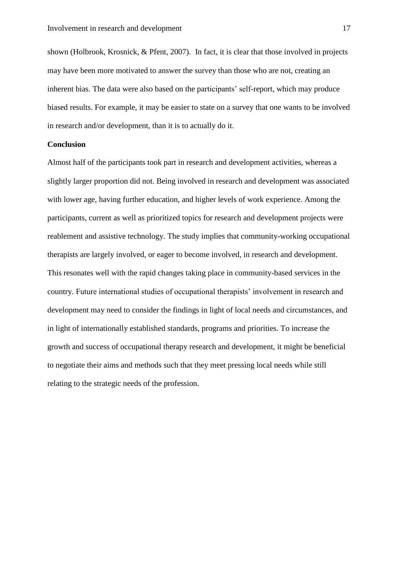shown (Holbrook, Krosnick, & Pfent, 2007). In fact, it is clear that those involved in projects may have been more motivated to answer the survey than those who are not, creating an inherent bias. The data were also based on the participants' self-report, which may produce biased results. For example, it may be easier to state on a survey that one wants to be involved in research and/or development, than it is to actually do it.

# **Conclusion**

Almost half of the participants took part in research and development activities, whereas a slightly larger proportion did not. Being involved in research and development was associated with lower age, having further education, and higher levels of work experience. Among the participants, current as well as prioritized topics for research and development projects were reablement and assistive technology. The study implies that community-working occupational therapists are largely involved, or eager to become involved, in research and development. This resonates well with the rapid changes taking place in community-based services in the country. Future international studies of occupational therapists' involvement in research and development may need to consider the findings in light of local needs and circumstances, and in light of internationally established standards, programs and priorities. To increase the growth and success of occupational therapy research and development, it might be beneficial to negotiate their aims and methods such that they meet pressing local needs while still relating to the strategic needs of the profession.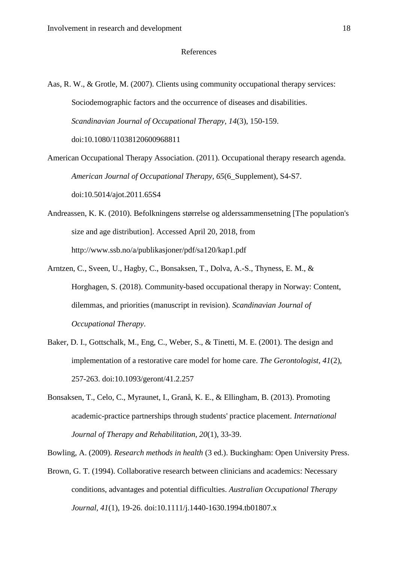#### References

- Aas, R. W., & Grotle, M. (2007). Clients using community occupational therapy services: Sociodemographic factors and the occurrence of diseases and disabilities. *Scandinavian Journal of Occupational Therapy, 14*(3), 150-159. doi:10.1080/11038120600968811
- American Occupational Therapy Association. (2011). Occupational therapy research agenda. *American Journal of Occupational Therapy, 65*(6\_Supplement), S4-S7. doi:10.5014/ajot.2011.65S4
- Andreassen, K. K. (2010). Befolkningens størrelse og alderssammensetning [The population's size and age distribution]. Accessed April 20, 2018, from http://www.ssb.no/a/publikasjoner/pdf/sa120/kap1.pdf
- Arntzen, C., Sveen, U., Hagby, C., Bonsaksen, T., Dolva, A.-S., Thyness, E. M., & Horghagen, S. (2018). Community-based occupational therapy in Norway: Content, dilemmas, and priorities (manuscript in revision). *Scandinavian Journal of Occupational Therapy*.
- Baker, D. I., Gottschalk, M., Eng, C., Weber, S., & Tinetti, M. E. (2001). The design and implementation of a restorative care model for home care. *The Gerontologist, 41*(2), 257-263. doi:10.1093/geront/41.2.257
- Bonsaksen, T., Celo, C., Myraunet, I., Granå, K. E., & Ellingham, B. (2013). Promoting academic-practice partnerships through students' practice placement. *International Journal of Therapy and Rehabilitation, 20*(1), 33-39.

Bowling, A. (2009). *Research methods in health* (3 ed.). Buckingham: Open University Press.

Brown, G. T. (1994). Collaborative research between clinicians and academics: Necessary conditions, advantages and potential difficulties. *Australian Occupational Therapy Journal, 41*(1), 19-26. doi:10.1111/j.1440-1630.1994.tb01807.x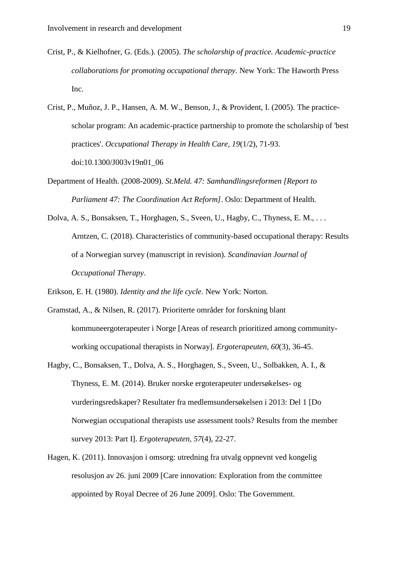- Crist, P., & Kielhofner, G. (Eds.). (2005). *The scholarship of practice. Academic-practice collaborations for promoting occupational therapy*. New York: The Haworth Press Inc.
- Crist, P., Muñoz, J. P., Hansen, A. M. W., Benson, J., & Provident, I. (2005). The practicescholar program: An academic-practice partnership to promote the scholarship of 'best practices'. *Occupational Therapy in Health Care, 19*(1/2), 71-93. doi:10.1300/J003v19n01\_06
- Department of Health. (2008-2009). *St.Meld. 47: Samhandlingsreformen [Report to Parliament 47: The Coordination Act Reform]*. Oslo: Department of Health.
- Dolva, A. S., Bonsaksen, T., Horghagen, S., Sveen, U., Hagby, C., Thyness, E. M., . . . Arntzen, C. (2018). Characteristics of community-based occupational therapy: Results of a Norwegian survey (manuscript in revision). *Scandinavian Journal of Occupational Therapy*.
- Erikson, E. H. (1980). *Identity and the life cycle*. New York: Norton.
- Gramstad, A., & Nilsen, R. (2017). Prioriterte områder for forskning blant kommuneergoterapeuter i Norge [Areas of research prioritized among communityworking occupational therapists in Norway]. *Ergoterapeuten, 60*(3), 36-45.
- Hagby, C., Bonsaksen, T., Dolva, A. S., Horghagen, S., Sveen, U., Solbakken, A. I., & Thyness, E. M. (2014). Bruker norske ergoterapeuter undersøkelses- og vurderingsredskaper? Resultater fra medlemsundersøkelsen i 2013: Del 1 [Do Norwegian occupational therapists use assessment tools? Results from the member survey 2013: Part I]. *Ergoterapeuten, 57*(4), 22-27.
- Hagen, K. (2011). Innovasjon i omsorg: utredning fra utvalg oppnevnt ved kongelig resolusjon av 26. juni 2009 [Care innovation: Exploration from the committee appointed by Royal Decree of 26 June 2009]. Oslo: The Government.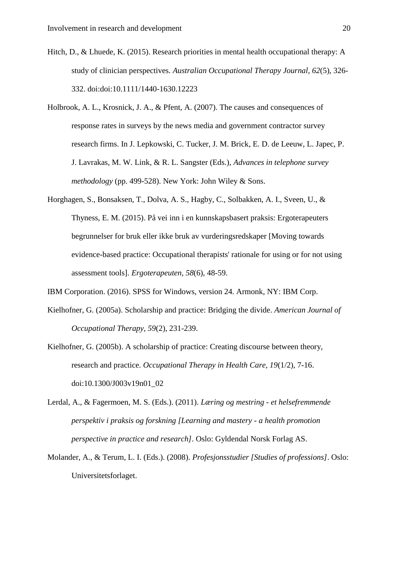- Hitch, D., & Lhuede, K. (2015). Research priorities in mental health occupational therapy: A study of clinician perspectives. *Australian Occupational Therapy Journal, 62*(5), 326- 332. doi:doi:10.1111/1440-1630.12223
- Holbrook, A. L., Krosnick, J. A., & Pfent, A. (2007). The causes and consequences of response rates in surveys by the news media and government contractor survey research firms. In J. Lepkowski, C. Tucker, J. M. Brick, E. D. de Leeuw, L. Japec, P. J. Lavrakas, M. W. Link, & R. L. Sangster (Eds.), *Advances in telephone survey methodology* (pp. 499-528). New York: John Wiley & Sons.
- Horghagen, S., Bonsaksen, T., Dolva, A. S., Hagby, C., Solbakken, A. I., Sveen, U., & Thyness, E. M. (2015). På vei inn i en kunnskapsbasert praksis: Ergoterapeuters begrunnelser for bruk eller ikke bruk av vurderingsredskaper [Moving towards evidence-based practice: Occupational therapists' rationale for using or for not using assessment tools]. *Ergoterapeuten, 58*(6), 48-59.
- IBM Corporation. (2016). SPSS for Windows, version 24. Armonk, NY: IBM Corp.
- Kielhofner, G. (2005a). Scholarship and practice: Bridging the divide. *American Journal of Occupational Therapy, 59*(2), 231-239.
- Kielhofner, G. (2005b). A scholarship of practice: Creating discourse between theory, research and practice. *Occupational Therapy in Health Care, 19*(1/2), 7-16. doi:10.1300/J003v19n01\_02
- Lerdal, A., & Fagermoen, M. S. (Eds.). (2011). *Læring og mestring - et helsefremmende perspektiv i praksis og forskning [Learning and mastery - a health promotion perspective in practice and research]*. Oslo: Gyldendal Norsk Forlag AS.
- Molander, A., & Terum, L. I. (Eds.). (2008). *Profesjonsstudier [Studies of professions]*. Oslo: Universitetsforlaget.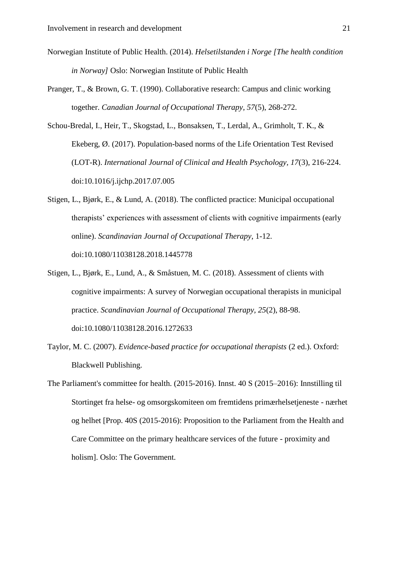- Norwegian Institute of Public Health. (2014). *Helsetilstanden i Norge [The health condition in Norway]* Oslo: Norwegian Institute of Public Health
- Pranger, T., & Brown, G. T. (1990). Collaborative research: Campus and clinic working together. *Canadian Journal of Occupational Therapy, 57*(5), 268-272.

Schou-Bredal, I., Heir, T., Skogstad, L., Bonsaksen, T., Lerdal, A., Grimholt, T. K., & Ekeberg, Ø. (2017). Population-based norms of the Life Orientation Test Revised (LOT-R). *International Journal of Clinical and Health Psychology, 17*(3), 216-224. doi:10.1016/j.ijchp.2017.07.005

- Stigen, L., Bjørk, E., & Lund, A. (2018). The conflicted practice: Municipal occupational therapists' experiences with assessment of clients with cognitive impairments (early online). *Scandinavian Journal of Occupational Therapy*, 1-12. doi:10.1080/11038128.2018.1445778
- Stigen, L., Bjørk, E., Lund, A., & Småstuen, M. C. (2018). Assessment of clients with cognitive impairments: A survey of Norwegian occupational therapists in municipal practice. *Scandinavian Journal of Occupational Therapy, 25*(2), 88-98. doi:10.1080/11038128.2016.1272633
- Taylor, M. C. (2007). *Evidence-based practice for occupational therapists* (2 ed.). Oxford: Blackwell Publishing.
- The Parliament's committee for health. (2015-2016). Innst. 40 S (2015–2016): Innstilling til Stortinget fra helse- og omsorgskomiteen om fremtidens primærhelsetjeneste - nærhet og helhet [Prop. 40S (2015-2016): Proposition to the Parliament from the Health and Care Committee on the primary healthcare services of the future - proximity and holism]. Oslo: The Government.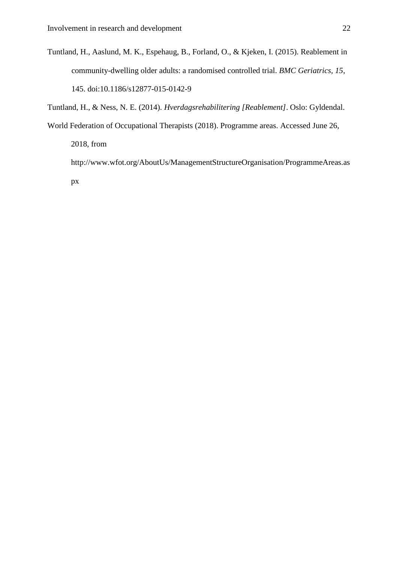Tuntland, H., Aaslund, M. K., Espehaug, B., Forland, O., & Kjeken, I. (2015). Reablement in community-dwelling older adults: a randomised controlled trial. *BMC Geriatrics, 15*, 145. doi:10.1186/s12877-015-0142-9

Tuntland, H., & Ness, N. E. (2014). *Hverdagsrehabilitering [Reablement]*. Oslo: Gyldendal.

World Federation of Occupational Therapists (2018). Programme areas. Accessed June 26,

2018, from

http://www.wfot.org/AboutUs/ManagementStructureOrganisation/ProgrammeAreas.as px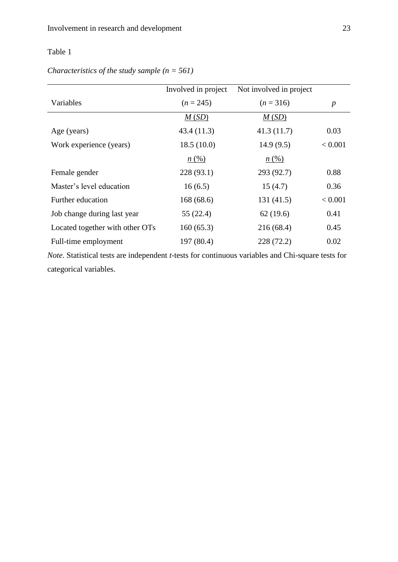|                                                                                                                  | Involved in project | Not involved in project |                  |  |
|------------------------------------------------------------------------------------------------------------------|---------------------|-------------------------|------------------|--|
| Variables                                                                                                        | $(n = 245)$         | $(n=316)$               | $\boldsymbol{p}$ |  |
|                                                                                                                  | M(SD)               | M(SD)                   |                  |  |
| Age (years)                                                                                                      | 43.4(11.3)          | 41.3(11.7)              | 0.03             |  |
| Work experience (years)                                                                                          | 18.5(10.0)          | 14.9(9.5)               | < 0.001          |  |
|                                                                                                                  | n(%)                | n(%)                    |                  |  |
| Female gender                                                                                                    | 228 (93.1)          | 293 (92.7)              | 0.88             |  |
| Master's level education                                                                                         | 16(6.5)             | 15(4.7)                 | 0.36             |  |
| Further education                                                                                                | 168(68.6)           | 131(41.5)               | < 0.001          |  |
| Job change during last year                                                                                      | 55 (22.4)           | 62(19.6)                | 0.41             |  |
| Located together with other OTs                                                                                  | 160(65.3)           | 216(68.4)               | 0.45             |  |
| Full-time employment                                                                                             | 197 (80.4)          | 228 (72.2)              | 0.02             |  |
| <i>Note.</i> Statistical tests are independent <i>t</i> -tests for continuous variables and Chi-square tests for |                     |                         |                  |  |

# *Characteristics of the study sample (n = 561)*

*Note.* Statistical tests are independent *t*-tests for continuous variables and Chi-square tests for categorical variables.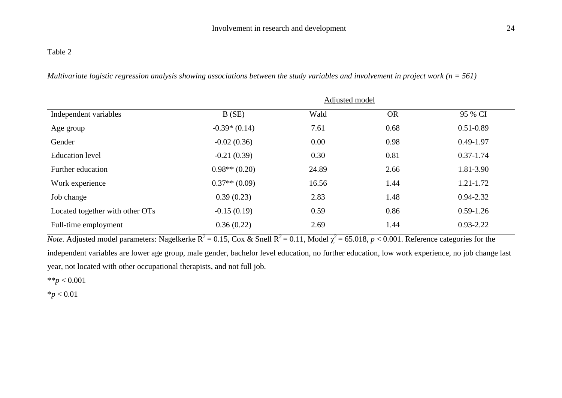*Multivariate logistic regression analysis showing associations between the study variables and involvement in project work (n = 561)*

|                                 |                   | Adjusted model |      |               |
|---------------------------------|-------------------|----------------|------|---------------|
| Independent variables           | B(SE)             | Wald           | OR   | 95 % CI       |
| Age group                       | $-0.39*(0.14)$    | 7.61           | 0.68 | $0.51 - 0.89$ |
| Gender                          | $-0.02(0.36)$     | 0.00           | 0.98 | $0.49 - 1.97$ |
| <b>Education</b> level          | $-0.21(0.39)$     | 0.30           | 0.81 | $0.37 - 1.74$ |
| Further education               | $0.98**$ $(0.20)$ | 24.89          | 2.66 | 1.81-3.90     |
| Work experience                 | $0.37**$ (0.09)   | 16.56          | 1.44 | $1.21 - 1.72$ |
| Job change                      | 0.39(0.23)        | 2.83           | 1.48 | $0.94 - 2.32$ |
| Located together with other OTs | $-0.15(0.19)$     | 0.59           | 0.86 | $0.59 - 1.26$ |
| Full-time employment            | 0.36(0.22)        | 2.69           | 1.44 | $0.93 - 2.22$ |

*Note.* Adjusted model parameters: Nagelkerke  $R^2 = 0.15$ , Cox & Snell  $R^2 = 0.11$ , Model  $\chi^2 = 65.018$ ,  $p < 0.001$ . Reference categories for the independent variables are lower age group, male gender, bachelor level education, no further education, low work experience, no job change last year, not located with other occupational therapists, and not full job.

\*\**p* < 0.001

\**p* < 0.01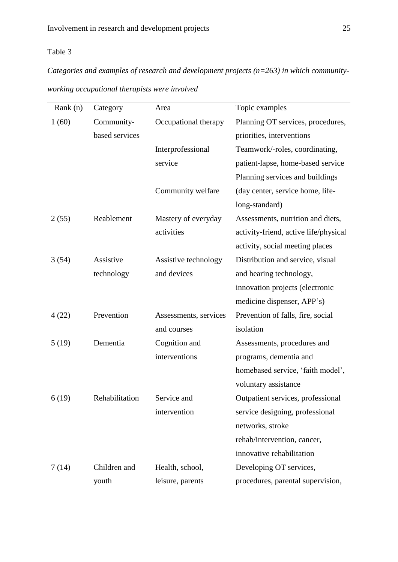*Categories and examples of research and development projects (n=263) in which community-*

*working occupational therapists were involved* 

| Rank $(n)$ | Category       | Area                  | Topic examples                        |
|------------|----------------|-----------------------|---------------------------------------|
| 1(60)      | Community-     | Occupational therapy  | Planning OT services, procedures,     |
|            | based services |                       | priorities, interventions             |
|            |                | Interprofessional     | Teamwork/-roles, coordinating,        |
|            |                | service               | patient-lapse, home-based service     |
|            |                |                       | Planning services and buildings       |
|            |                | Community welfare     | (day center, service home, life-      |
|            |                |                       | long-standard)                        |
| 2(55)      | Reablement     | Mastery of everyday   | Assessments, nutrition and diets,     |
|            |                | activities            | activity-friend, active life/physical |
|            |                |                       | activity, social meeting places       |
| 3(54)      | Assistive      | Assistive technology  | Distribution and service, visual      |
|            | technology     | and devices           | and hearing technology,               |
|            |                |                       | innovation projects (electronic       |
|            |                |                       | medicine dispenser, APP's)            |
| 4(22)      | Prevention     | Assessments, services | Prevention of falls, fire, social     |
|            |                | and courses           | isolation                             |
| 5(19)      | Dementia       | Cognition and         | Assessments, procedures and           |
|            |                | interventions         | programs, dementia and                |
|            |                |                       | homebased service, 'faith model',     |
|            |                |                       | voluntary assistance                  |
| 6(19)      | Rehabilitation | Service and           | Outpatient services, professional     |
|            |                | intervention          | service designing, professional       |
|            |                |                       | networks, stroke                      |
|            |                |                       | rehab/intervention, cancer,           |
|            |                |                       | innovative rehabilitation             |
| 7(14)      | Children and   | Health, school,       | Developing OT services,               |
|            | youth          | leisure, parents      | procedures, parental supervision,     |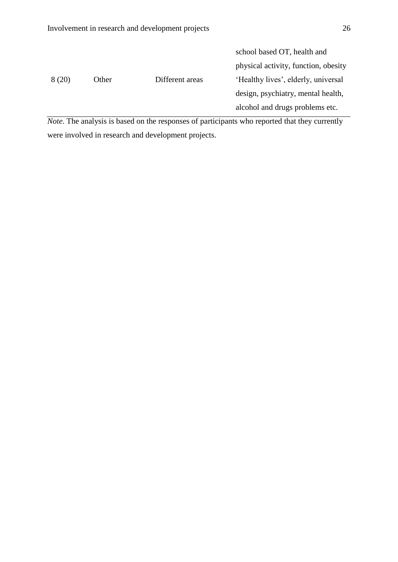|        |       |                 | school based OT, health and          |
|--------|-------|-----------------|--------------------------------------|
|        |       |                 | physical activity, function, obesity |
| 8 (20) | Other | Different areas | 'Healthy lives', elderly, universal  |
|        |       |                 | design, psychiatry, mental health,   |
|        |       |                 | alcohol and drugs problems etc.      |

*Note*. The analysis is based on the responses of participants who reported that they currently were involved in research and development projects.